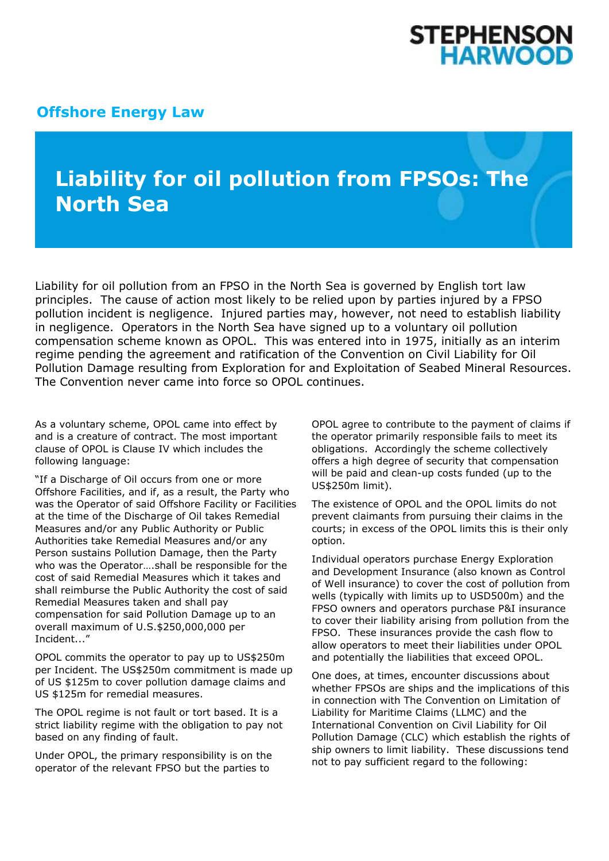## STEPHENSON **HARWOOD**

## **[Offshore Energy Law](http://www.offshoreenergylaw.com/)**

## **Liability for oil pollution from FPSOs: The North Sea**

Liability for oil pollution from an FPSO in the North Sea is governed by English tort law principles. The cause of action most likely to be relied upon by parties injured by a FPSO pollution incident is negligence. Injured parties may, however, not need to establish liability in negligence. Operators in the North Sea have signed up to a voluntary oil pollution compensation scheme known as OPOL. This was entered into in 1975, initially as an interim regime pending the agreement and ratification of the Convention on Civil Liability for Oil Pollution Damage resulting from Exploration for and Exploitation of Seabed Mineral Resources. The Convention never came into force so OPOL continues.

As a voluntary scheme, OPOL came into effect by and is a creature of contract. The most important clause of OPOL is Clause IV which includes the following language:

"If a Discharge of Oil occurs from one or more Offshore Facilities, and if, as a result, the Party who was the Operator of said Offshore Facility or Facilities at the time of the Discharge of Oil takes Remedial Measures and/or any Public Authority or Public Authorities take Remedial Measures and/or any Person sustains Pollution Damage, then the Party who was the Operator….shall be responsible for the cost of said Remedial Measures which it takes and shall reimburse the Public Authority the cost of said Remedial Measures taken and shall pay compensation for said Pollution Damage up to an overall maximum of U.S.\$250,000,000 per Incident..."

OPOL commits the operator to pay up to US\$250m per Incident. The US\$250m commitment is made up of US \$125m to cover pollution damage claims and US \$125m for remedial measures.

The OPOL regime is not fault or tort based. It is a strict liability regime with the obligation to pay not based on any finding of fault.

Under OPOL, the primary responsibility is on the operator of the relevant FPSO but the parties to

OPOL agree to contribute to the payment of claims if the operator primarily responsible fails to meet its obligations. Accordingly the scheme collectively offers a high degree of security that compensation will be paid and clean-up costs funded (up to the US\$250m limit).

The existence of OPOL and the OPOL limits do not prevent claimants from pursuing their claims in the courts; in excess of the OPOL limits this is their only option.

Individual operators purchase Energy Exploration and Development Insurance (also known as Control of Well insurance) to cover the cost of pollution from wells (typically with limits up to USD500m) and the FPSO owners and operators purchase P&I insurance to cover their liability arising from pollution from the FPSO. These insurances provide the cash flow to allow operators to meet their liabilities under OPOL and potentially the liabilities that exceed OPOL.

One does, at times, encounter discussions about whether FPSOs are ships and the implications of this in connection with The Convention on Limitation of Liability for Maritime Claims (LLMC) and the International Convention on Civil Liability for Oil Pollution Damage (CLC) which establish the rights of ship owners to limit liability. These discussions tend not to pay sufficient regard to the following: